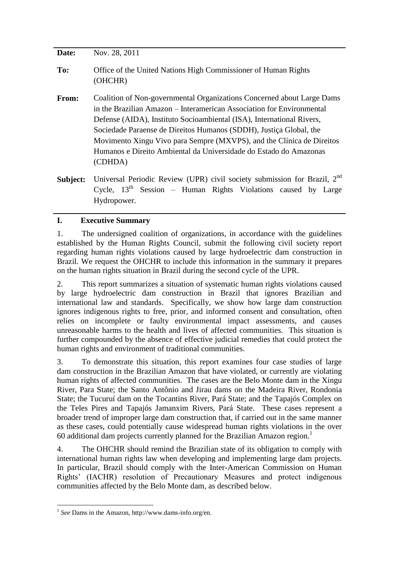| Date:    | Nov. 28, 2011                                                                                                                                                                                                                                                                                                                                                                                                                                           |
|----------|---------------------------------------------------------------------------------------------------------------------------------------------------------------------------------------------------------------------------------------------------------------------------------------------------------------------------------------------------------------------------------------------------------------------------------------------------------|
| To:      | Office of the United Nations High Commissioner of Human Rights<br>(OHCHR)                                                                                                                                                                                                                                                                                                                                                                               |
| From:    | Coalition of Non-governmental Organizations Concerned about Large Dams<br>in the Brazilian Amazon – Interamerican Association for Environmental<br>Defense (AIDA), Instituto Socioambiental (ISA), International Rivers,<br>Sociedade Paraense de Direitos Humanos (SDDH), Justiça Global, the<br>Movimento Xingu Vivo para Sempre (MXVPS), and the Clínica de Direitos<br>Humanos e Direito Ambiental da Universidade do Estado do Amazonas<br>(CDHDA) |
| Subject: | Universal Periodic Review (UPR) civil society submission for Brazil, 2 <sup>nd</sup><br>Cycle, $13th$ Session – Human Rights Violations caused by Large                                                                                                                                                                                                                                                                                                 |

## **I. Executive Summary**

Hydropower.

1. The undersigned coalition of organizations, in accordance with the guidelines established by the Human Rights Council, submit the following civil society report regarding human rights violations caused by large hydroelectric dam construction in Brazil. We request the OHCHR to include this information in the summary it prepares on the human rights situation in Brazil during the second cycle of the UPR.

2. This report summarizes a situation of systematic human rights violations caused by large hydroelectric dam construction in Brazil that ignores Brazilian and international law and standards. Specifically, we show how large dam construction ignores indigenous rights to free, prior, and informed consent and consultation, often relies on incomplete or faulty environmental impact assessments, and causes unreasonable harms to the health and lives of affected communities. This situation is further compounded by the absence of effective judicial remedies that could protect the human rights and environment of traditional communities.

3. To demonstrate this situation, this report examines four case studies of large dam construction in the Brazilian Amazon that have violated, or currently are violating human rights of affected communities. The cases are the Belo Monte dam in the Xingu River, Para State; the Santo Antônio and Jirau dams on the Madeira River, Rondonia State; the Tucuruí dam on the Tocantins River, Pará State; and the Tapajós Complex on the Teles Pires and Tapajós Jamanxim Rivers, Pará State. These cases represent a broader trend of improper large dam construction that, if carried out in the same manner as these cases, could potentially cause widespread human rights violations in the over 60 additional dam projects currently planned for the Brazilian Amazon region.<sup>1</sup>

4. The OHCHR should remind the Brazilian state of its obligation to comply with international human rights law when developing and implementing large dam projects. In particular, Brazil should comply with the Inter-American Commission on Human Rights' (IACHR) resolution of Precautionary Measures and protect indigenous communities affected by the Belo Monte dam, as described below.

 1 *See* Dams in the Amazon, http://www.dams-info.org/en.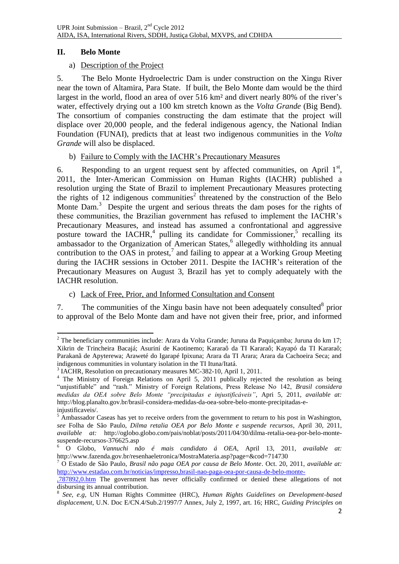## **II. Belo Monte**

#### a) Description of the Project

5. The Belo Monte Hydroelectric Dam is under construction on the Xingu River near the town of Altamira, Para State. If built, the Belo Monte dam would be the third largest in the world, flood an area of over 516 km² and divert nearly 80% of the river's water, effectively drying out a 100 km stretch known as the *Volta Grande* (Big Bend). The consortium of companies constructing the dam estimate that the project will displace over 20,000 people, and the federal indigenous agency, the National Indian Foundation (FUNAI), predicts that at least two indigenous communities in the *Volta Grande* will also be displaced.

#### b) Failure to Comply with the IACHR's Precautionary Measures

6. Responding to an urgent request sent by affected communities, on April  $1<sup>st</sup>$ , 2011, the Inter-American Commission on Human Rights (IACHR) published a resolution urging the State of Brazil to implement Precautionary Measures protecting the rights of  $12$  indigenous communities<sup>2</sup> threatened by the construction of the Belo Monte Dam.<sup>3</sup> Despite the urgent and serious threats the dam poses for the rights of these communities, the Brazilian government has refused to implement the IACHR's Precautionary Measures, and instead has assumed a confrontational and aggressive posture toward the  $IACHR$ ,<sup>4</sup> pulling its candidate for Commissioner,<sup>5</sup> recalling its ambassador to the Organization of American States,<sup>6</sup> allegedly withholding its annual contribution to the OAS in protest, $^7$  and failing to appear at a Working Group Meeting during the IACHR sessions in October 2011. Despite the IACHR's reiteration of the Precautionary Measures on August 3, Brazil has yet to comply adequately with the IACHR resolution.

<span id="page-1-0"></span>c) Lack of Free, Prior, and Informed Consultation and Consent

7. The communities of the Xingu basin have not been adequately consulted $8$  prior to approval of the Belo Monte dam and have not given their free, prior, and informed

<sup>1</sup> <sup>2</sup> The beneficiary communities include: Arara da Volta Grande; Juruna da Paquiçamba; Juruna do km 17; Xikrin de Trincheira Bacajá; Asuriní de Kaotinemo; Kararaô da TI Kararaô; Kayapó da TI Kararaô; Parakanã de Apyterewa; Araweté do Igarapé Ipixuna; Arara da TI Arara; Arara da Cachoeira Seca; and indigenous communities in voluntary isolation in the TI Ituna/Itatá.

<sup>3</sup> IACHR, Resolution on precautionary measures MC-382-10, April 1, 2011.

<sup>&</sup>lt;sup>4</sup> The Ministry of Foreign Relations on April 5, 2011 publically rejected the resolution as being "unjustifiable" and "rash." Ministry of Foreign Relations, Press Release No 142, *Brasil considera medidas da OEA sobre Belo Monte "precipitadas e injustificáveis"*, Apri 5, 2011, *available at:*  http://blog.planalto.gov.br/brasil-considera-medidas-da-oea-sobre-belo-monte-precipitadas-einjustificaveis/.

Ambassador Caseas has yet to receive orders from the government to return to his post in Washington, *see* Folha de São Paulo, *Dilma retalia OEA por Belo Monte e suspende recursos*, April 30, 2011, *available at:* http://oglobo.globo.com/pais/noblat/posts/2011/04/30/dilma-retalia-oea-por-belo-montesuspende-recursos-376625.asp

<sup>6</sup> O Globo, *Vannuchi não é mais candidato á OEA*, April 13, 2011, *available at:*  http://www.fazenda.gov.br/resenhaeletronica/MostraMateria.asp?page=&cod=714730

<sup>7</sup> O Estado de São Paulo, *Brasil não paga OEA por causa de Belo Monte*. Oct. 20, 2011, *available at:* [http://www.estadao.com.br/noticias/impresso,brasil-nao-paga-oea-por-causa-de-belo-monte-](http://www.estadao.com.br/noticias/impresso,brasil-nao-paga-oea-por-causa-de-belo-monte-,787892,0.htm)

[<sup>,787892,0.</sup>htm](http://www.estadao.com.br/noticias/impresso,brasil-nao-paga-oea-por-causa-de-belo-monte-,787892,0.htm) The government has never officially confirmed or denied these allegations of not disbursing its annual contribution.

<sup>8</sup> *See, e.g*, UN Human Rights Committee (HRC), *Human Rights Guidelines on Development-based displacement*, U.N. Doc E/CN.4/Sub.2/1997/7 Annex, July 2, 1997, art. 16; HRC, *Guiding Principles on*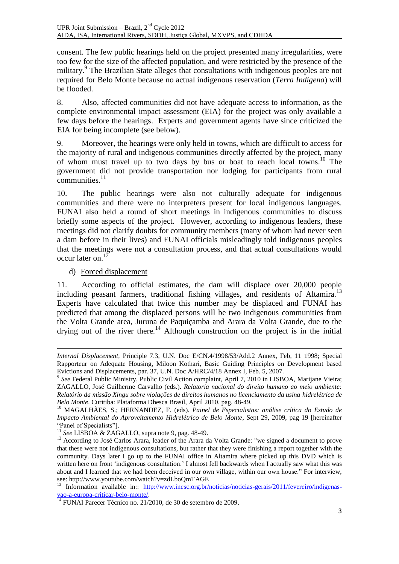<span id="page-2-0"></span>consent. The few public hearings held on the project presented many irregularities, were too few for the size of the affected population, and were restricted by the presence of the military.<sup>9</sup> The Brazilian State alleges that consultations with indigenous peoples are not required for Belo Monte because no actual indigenous reservation (*Terra Indígena*) will be flooded.

8. Also, affected communities did not have adequate access to information, as the complete environmental impact assessment (EIA) for the project was only available a few days before the hearings. Experts and government agents have since criticized the EIA for being incomplete (see below).

<span id="page-2-1"></span>9. Moreover, the hearings were only held in towns, which are difficult to access for the majority of rural and indigenous communities directly affected by the project, many of whom must travel up to two days by bus or boat to reach local towns.<sup>10</sup> The government did not provide transportation nor lodging for participants from rural communities.<sup>11</sup>

10. The public hearings were also not culturally adequate for indigenous communities and there were no interpreters present for local indigenous languages. FUNAI also held a round of short meetings in indigenous communities to discuss briefly some aspects of the project. However, according to indigenous leaders, these meetings did not clarify doubts for community members (many of whom had never seen a dam before in their lives) and FUNAI officials misleadingly told indigenous peoples that the meetings were not a consultation process, and that actual consultations would occur later on. $12$ 

d) Forced displacement

**.** 

11. According to official estimates, the dam will displace over 20,000 people including peasant farmers, traditional fishing villages, and residents of Altamira.<sup>13</sup> Experts have calculated that twice this number may be displaced and FUNAI has predicted that among the displaced persons will be two indigenous communities from the Volta Grande area, Juruna de Paquiçamba and Arara da Volta Grande, due to the drying out of the river there.<sup>14</sup> Although construction on the project is in the initial

*Internal Displacement,* Principle 7.3, U.N. Doc E/CN.4/1998/53/Add.2 Annex, Feb, 11 1998; Special Rapporteur on Adequate Housing, Miloon Kothari, Basic Guiding Principles on Development based Evictions and Displacements, par. 37, U.N. Doc A/HRC/4/18 Annex I, Feb. 5, 2007.

<sup>&</sup>lt;sup>9</sup> See Federal Public Ministry, Public Civil Action complaint, April 7, 2010 in LISBOA, Marijane Vieira; ZAGALLO, José Guilherme Carvalho (eds.). *Relatoria nacional do direito humano ao meio ambiente: Relatório da missão Xingu sobre violações de direitos humanos no licenciamento da usina hidrelétrica de Belo Monte*. Curitiba: Plataforma Dhesca Brasil, April 2010. pag. 48-49.

<sup>10</sup> MAGALHÃES, S.; HERNANDEZ, F. (eds). *Painel de Especialistas: análise crítica do Estudo de Impacto Ambiental do Aproveitamento Hidrelétrico de Belo Monte*, Sept 29, 2009, pag 19 [hereinafter "Panel of Specialists"].

<sup>&</sup>lt;sup>11</sup> See LISBOA & ZAGALLO, supra note [9,](#page-2-0) pag. 48-49.

<sup>&</sup>lt;sup>12</sup> According to José Carlos Arara, leader of the Arara da Volta Grande: "we signed a document to prove that these were not indigenous consultations, but rather that they were finishing a report together with the community. Days later I go up to the FUNAI office in Altamira where picked up this DVD which is written here on front 'indigenous consultation.' I almost fell backwards when I actually saw what this was about and I learned that we had been deceived in our own village, within our own house." For interview, see: http://www.youtube.com/watch?v=zdLboQmTAGE

<sup>&</sup>lt;sup>13</sup> Information available in:: [http://www.inesc.org.br/noticias/noticias-gerais/2011/fevereiro/indigenas](http://www.inesc.org.br/noticias/noticias-gerais/2011/fevereiro/indigenas-vao-a-europa-criticar-belo-monte/)[vao-a-europa-criticar-belo-monte/.](http://www.inesc.org.br/noticias/noticias-gerais/2011/fevereiro/indigenas-vao-a-europa-criticar-belo-monte/)

 $14$  FUNAI Parecer Técnico no. 21/2010, de 30 de setembro de 2009.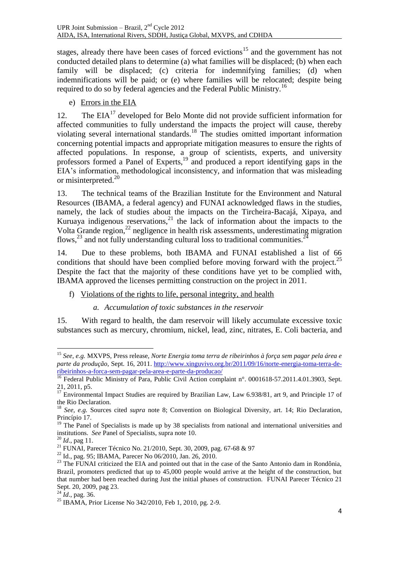stages, already there have been cases of forced evictions<sup>15</sup> and the government has not conducted detailed plans to determine (a) what families will be displaced; (b) when each family will be displaced; (c) criteria for indemnifying families; (d) when indemnifications will be paid; or (e) where families will be relocated; despite being required to do so by federal agencies and the Federal Public Ministry.<sup>16</sup>

e) Errors in the EIA

12. The  $EIA<sup>17</sup>$  developed for Belo Monte did not provide sufficient information for affected communities to fully understand the impacts the project will cause, thereby violating several international standards. <sup>18</sup> The studies omitted important information concerning potential impacts and appropriate mitigation measures to ensure the rights of affected populations. In response, a group of scientists, experts, and university professors formed a Panel of Experts,<sup>19</sup> and produced a report identifying gaps in the EIA's information, methodological inconsistency, and information that was misleading or misinterpreted.<sup>20</sup>

13. The technical teams of the Brazilian Institute for the Environment and Natural Resources (IBAMA, a federal agency) and FUNAI acknowledged flaws in the studies, namely, the lack of studies about the impacts on the Tircheira-Bacajá, Xipaya, and Kuruaya indigenous reservations, $2^1$  the lack of information about the impacts to the Volta Grande region, $^{22}$  negligence in health risk assessments, underestimating migration flows,<sup>23</sup> and not fully understanding cultural loss to traditional communities.<sup>24</sup>

14. Due to these problems, both IBAMA and FUNAI established a list of 66 conditions that should have been complied before moving forward with the project.<sup>25</sup> Despite the fact that the majority of these conditions have yet to be complied with, IBAMA approved the licenses permitting construction on the project in 2011.

- f) Violations of the rights to life, personal integrity, and health
	- *a. Accumulation of toxic substances in the reservoir*

15. With regard to health, the dam reservoir will likely accumulate excessive toxic substances such as mercury, chromium, nickel, lead, zinc, nitrates, E. Coli bacteria, and

**.** 

<sup>15</sup> *See, e.g.* MXVPS, Press release, *Norte Energia toma terra de ribeirinhos à força sem pagar pela área e parte da produção*, Sept. 16, 2011. [http://www.xinguvivo.org.br/2011/09/16/norte-energia-toma-terra-de](http://www.xinguvivo.org.br/2011/09/16/norte-energia-toma-terra-de-ribeirinhos-a-forca-sem-pagar-pela-area-e-parte-da-producao/)[ribeirinhos-a-forca-sem-pagar-pela-area-e-parte-da-producao/](http://www.xinguvivo.org.br/2011/09/16/norte-energia-toma-terra-de-ribeirinhos-a-forca-sem-pagar-pela-area-e-parte-da-producao/)

<sup>&</sup>lt;sup>16</sup> Federal Public Ministry of Para, Public Civil Action complaint n°. 0001618-57.2011.4.01.3903, Sept. 21, 2011, p5.

<sup>&</sup>lt;sup>17</sup> Environmental Impact Studies are required by Brazilian Law, Law 6.938/81, art 9, and Principle 17 of the Rio Declaration.

<sup>&</sup>lt;sup>18</sup> *See, e.g.* Sources cited *supra* note [8;](#page-1-0) Convention on Biological Diversity, art. 14; Rio Declaration, Princípio 17.

<sup>&</sup>lt;sup>19</sup> The Panel of Specialists is made up by 38 specialists from national and international universities and institutions. *See* Panel of Specialists, supra note [10.](#page-2-1)

<sup>20</sup> *Id*., pag 11.

<sup>21</sup> FUNAI, Parecer Técnico No. 21/2010, Sept. 30, 2009, pag. 67-68 & 97

<sup>22</sup> Id., pag. 95; IBAMA, Parecer No 06/2010, Jan. 26, 2010.

<sup>&</sup>lt;sup>23</sup> The FUNAI criticized the EIA and pointed out that in the case of the Santo Antonio dam in Rondônia, Brazil, promoters predicted that up to 45,000 people would arrive at the height of the construction, but that number had been reached during Just the initial phases of construction. FUNAI Parecer Técnico 21 Sept. 20, 2009, pag 23.

<sup>&</sup>lt;sup>24</sup> *Id.*, pag. 36.

<sup>25</sup> IBAMA, Prior License No 342/2010, Feb 1, 2010, pg. 2-9.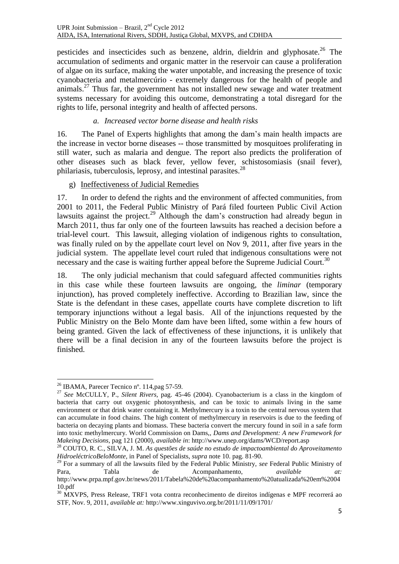pesticides and insecticides such as benzene, aldrin, dieldrin and glyphosate.<sup>26</sup> The accumulation of sediments and organic matter in the reservoir can cause a proliferation of algae on its surface, making the water unpotable, and increasing the presence of toxic cyanobacteria and metalmercúrio - extremely dangerous for the health of people and animals.<sup>27</sup> Thus far, the government has not installed new sewage and water treatment systems necessary for avoiding this outcome, demonstrating a total disregard for the rights to life, personal integrity and health of affected persons.

### <span id="page-4-0"></span>*a. Increased vector borne disease and health risks*

16. The Panel of Experts highlights that among the dam's main health impacts are the increase in vector borne diseases -- those transmitted by mosquitoes proliferating in still water, such as malaria and dengue. The report also predicts the proliferation of other diseases such as black fever, yellow fever, schistosomiasis (snail fever), philariasis, tuberculosis, leprosy, and intestinal parasites.<sup>28</sup>

#### g) Ineffectiveness of Judicial Remedies

17. In order to defend the rights and the environment of affected communities, from 2001 to 2011, the Federal Public Ministry of Pará filed fourteen Public Civil Action lawsuits against the project.<sup>29</sup> Although the dam's construction had already begun in March 2011, thus far only one of the fourteen lawsuits has reached a decision before a trial-level court. This lawsuit, alleging violation of indigenous rights to consultation, was finally ruled on by the appellate court level on Nov 9, 2011, after five years in the judicial system. The appellate level court ruled that indigenous consultations were not necessary and the case is waiting further appeal before the Supreme Judicial Court.<sup>30</sup>

18. The only judicial mechanism that could safeguard affected communities rights in this case while these fourteen lawsuits are ongoing, the *liminar* (temporary injunction), has proved completely ineffective. According to Brazilian law, since the State is the defendant in these cases, appellate courts have complete discretion to lift temporary injunctions without a legal basis. All of the injunctions requested by the Public Ministry on the Belo Monte dam have been lifted, some within a few hours of being granted. Given the lack of effectiveness of these injunctions, it is unlikely that there will be a final decision in any of the fourteen lawsuits before the project is finished.

 $\overline{\phantom{a}}$ 

<sup>29</sup> For a summary of all the lawsuits filed by the Federal Public Ministry, *see* Federal Public Ministry of Para, Tabla de Acompanhamento, *available at:*  http://www.prpa.mpf.gov.br/news/2011/Tabela%20de%20acompanhamento%20atualizada%20em%2004 10.pdf

<sup>26</sup> IBAMA, Parecer Tecnico nº. 114,pag 57-59.

<sup>27</sup> *See* McCULLY, P., *Silent Rivers,* pag. 45-46 (2004). Cyanobacterium is a class in the kingdom of bacteria that carry out oxygenic photosynthesis, and can be toxic to animals living in the same environment or that drink water containing it. Methylmercury is a toxin to the central nervous system that can accumulate in food chains. The high content of methylmercury in reservoirs is due to the feeding of bacteria on decaying plants and biomass. These bacteria convert the mercury found in soil in a safe form into toxic methylmercury. World Commission on Dams,*, Dams and Development: A new Framework for Makeing Decisions*, pag 121 (2000), *available in*: http://www.unep.org/dams/WCD/report.asp

<sup>28</sup> COUTO, R. C., SILVA, J. M. *As questões de saúde no estudo de impactoambiental do Aproveitamento HidroeléctricoBeloMonte,* in Panel of Specialists, *supra* not[e 10.](#page-2-1) pag. 81-90.

<sup>&</sup>lt;sup>30</sup> MXVPS, Press Release, TRF1 vota contra reconhecimento de direitos indígenas e MPF recorrerá ao STF, Nov. 9, 2011, *available at:* http://www.xinguvivo.org.br/2011/11/09/1701/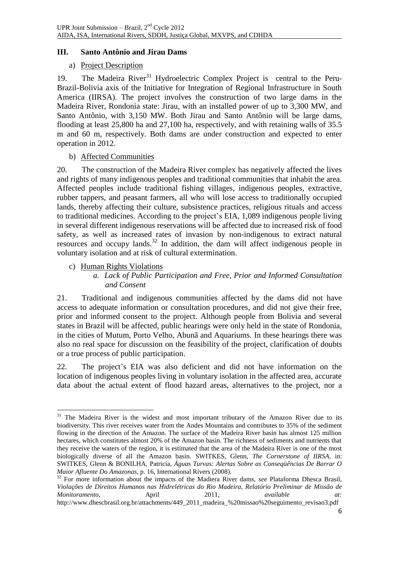## **III. Santo Antônio and Jirau Dams**

#### a) Project Description

19. The Madeira River<sup>31</sup> Hydroelectric Complex Project is central to the Peru-Brazil-Bolivia axis of the Initiative for Integration of Regional Infrastructure in South America (IIRSA). The project involves the construction of two large dams in the Madeira River, Rondonia state: Jirau, with an installed power of up to 3,300 MW, and Santo Antônio, with 3,150 MW. Both Jirau and Santo Antônio will be large dams, flooding at least 25,800 ha and 27,100 ha, respectively, and with retaining walls of 35.5 m and 60 m, respectively. Both dams are under construction and expected to enter operation in 2012.

#### b) Affected Communities

20. The construction of the Madeira River complex has negatively affected the lives and rights of many indigenous peoples and traditional communities that inhabit the area. Affected peoples include traditional fishing villages, indigenous peoples, extractive, rubber tappers, and peasant farmers, all who will lose access to traditionally occupied lands, thereby affecting their culture, subsistence practices, religious rituals and access to traditional medicines. According to the project's EIA, 1,089 indigenous people living in several different indigenous reservations will be affected due to increased risk of food safety, as well as increased rates of invasion by non-indigenous to extract natural resources and occupy lands. <sup>32</sup> In addition, the dam will affect indigenous people in voluntary isolation and at risk of cultural extermination.

c) Human Rights Violations

1

*a. Lack of Public Participation and Free, Prior and Informed Consultation and Consent*

21. Traditional and indigenous communities affected by the dams did not have access to adequate information or consultation procedures, and did not give their free, prior and informed consent to the project. Although people from Bolivia and several states in Brazil will be affected, public hearings were only held in the state of Rondonia, in the cities of Mutum, Porto Velho, Abunã and Aquariums. In these hearings there was also no real space for discussion on the feasibility of the project, clarification of doubts or a true process of public participation.

22. The project's EIA was also deficient and did not have information on the location of indigenous peoples living in voluntary isolation in the affected area, accurate data about the actual extent of flood hazard areas, alternatives to the project, nor a

<sup>&</sup>lt;sup>31</sup> The Madeira River is the widest and most important tributary of the Amazon River due to its biodiversity. This river receives water from the Andes Mountains and contributes to 35% of the sediment flowing in the direction of the Amazon. The surface of the Madeira River basin has almost 125 million hectares, which constitutes almost 20% of the Amazon basin. The richness of sediments and nutrients that they receive the waters of the region, it is estimated that the area of the Madeira River is one of the most biologically diverse of all the Amazon basin. SWITKES, Glenn, *The Cornerstone of IIRSA*, in: SWITKES, Glenn & BONILHA, Patricia, *Águas Turvas: Alertas Sobre as Conseqüências De Barrar O Maior Afluente Do Amazonas*, p. 16, International Rivers (2008).

<sup>&</sup>lt;sup>32</sup> For more information about the impacts of the Madiera River dams, *see* Plataforma Dhesca Brasil, *Violações de Direitos Humanos nas Hidrelétricas do Rio Madeira, Relatório Preliminar de Missão de Monitoramento*, April 2011, *available at:* http://www.dhescbrasil.org.br/attachments/449\_2011\_madeira\_%20missao%20seguimento\_revisao3.pdf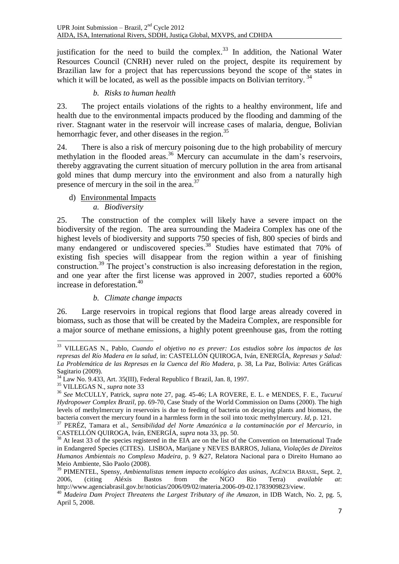justification for the need to build the complex.<sup>33</sup> In addition, the National Water Resources Council (CNRH) never ruled on the project, despite its requirement by Brazilian law for a project that has repercussions beyond the scope of the states in which it will be located, as well as the possible impacts on Bolivian territory.<sup>34</sup>

## <span id="page-6-0"></span>*b. Risks to human health*

23. The project entails violations of the rights to a healthy environment, life and health due to the environmental impacts produced by the flooding and damming of the river. Stagnant water in the reservoir will increase cases of malaria, dengue, Bolivian hemorrhagic fever, and other diseases in the region.<sup>35</sup>

24. There is also a risk of mercury poisoning due to the high probability of mercury methylation in the flooded areas.<sup>36</sup> Mercury can accumulate in the dam's reservoirs, thereby aggravating the current situation of mercury pollution in the area from artisanal gold mines that dump mercury into the environment and also from a naturally high presence of mercury in the soil in the area.<sup>37</sup>

#### d) Environmental Impacts *a. Biodiversity*

25. The construction of the complex will likely have a severe impact on the biodiversity of the region. The area surrounding the Madeira Complex has one of the highest levels of biodiversity and supports 750 species of fish, 800 species of birds and many endangered or undiscovered species.<sup>38</sup> Studies have estimated that 70% of existing fish species will disappear from the region within a year of finishing construction. <sup>39</sup> The project's construction is also increasing deforestation in the region, and one year after the first license was approved in 2007, studies reported a 600% increase in deforestation.<sup>40</sup>

## *b. Climate change impacts*

26. Large reservoirs in tropical regions that flood large areas already covered in biomass, such as those that will be created by the Madeira Complex, are responsible for a major source of methane emissions, a highly potent greenhouse gas, from the rotting

<sup>1</sup> <sup>33</sup> VILLEGAS N., Pablo, *Cuando el objetivo no es prever: Los estudios sobre los impactos de las represas del Río Madera en la salud*, in: CASTELLÓN QUIROGA, Iván, ENERGÍA, *Represas y Salud: La Problemática de las Represas en la Cuenca del Río Madera*, p. 38, La Paz, Bolivia: Artes Gráficas Sagitario (2009).

 $34$  Law No. 9.433, Art. 35(III), Federal Republico f Brazil, Jan. 8, 1997.

<sup>35</sup> VILLEGAS N., *supra* note [33](#page-6-0)

<sup>36</sup> *See* McCULLY, Patrick, *supra* note [27,](#page-4-0) pag. 45-46; LA ROVERE, E. L. e MENDES, F. E., *Tucuruí Hydropower Complex Brazil*, pp. 69-70, Case Study of the World Commission on Dams (2000). The high levels of methylmercury in reservoirs is due to feeding of bacteria on decaying plants and biomass, the bacteria convert the mercury found in a harmless form in the soil into toxic methylmercury. *Id*, p. 121.

<sup>37</sup> PERÉZ, Tamara et al., *Sensibilidad del Norte Amazónica a la contaminación por el Mercurio*, in CASTELLÓN QUIROGA, Iván, ENERGÍA, *supra* not[a 33,](#page-6-0) pp. 50.

<sup>&</sup>lt;sup>38</sup> At least 33 of the species registered in the EIA are on the list of the Convention on International Trade in Endangered Species (CITES). LISBOA, Marijane y NEVES BARROS, Juliana, *Violações de Direitos Humanos Ambientais no Complexo Madeira*, p. 9 &27, Relatora Nacional para o Direito Humano ao Meio Ambiente, São Paolo (2008).

<sup>39</sup> PIMENTEL, Spensy, *Ambientalistas temem impacto ecológico das usinas*, AGÊNCIA BRASIL, Sept. 2, 2006, (citing Aléxis Bastos from the NGO Rio Terra) *available at*: http://www.agenciabrasil.gov.br/noticias/2006/09/02/materia.2006-09-02.1783909823/view.

<sup>40</sup> *Madeira Dam Project Threatens the Largest Tributary of ihe Amazon*, in IDB Watch, No. 2, pg. 5, April 5, 2008.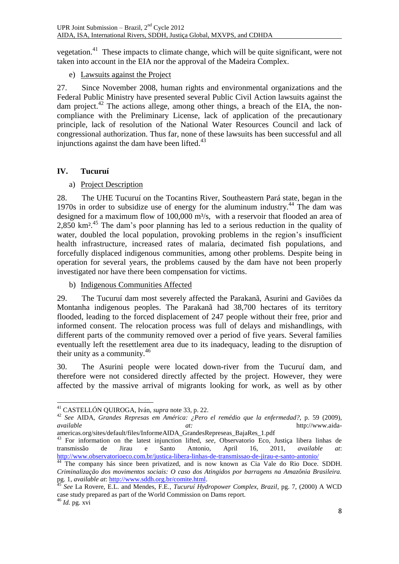vegetation.<sup>41</sup> These impacts to climate change, which will be quite significant, were not taken into account in the EIA nor the approval of the Madeira Complex.

e) Lawsuits against the Project

27. Since November 2008, human rights and environmental organizations and the Federal Public Ministry have presented several Public Civil Action lawsuits against the dam project.<sup>42</sup> The actions allege, among other things, a breach of the EIA, the noncompliance with the Preliminary License, lack of application of the precautionary principle, lack of resolution of the National Water Resources Council and lack of congressional authorization. Thus far, none of these lawsuits has been successful and all injunctions against the dam have been lifted.<sup>43</sup>

# **IV. Tucuruí**

# a) Project Description

<span id="page-7-0"></span>28. The UHE Tucuruí on the Tocantins River, Southeastern Pará state, began in the 1970s in order to subsidize use of energy for the aluminum industry.<sup>44</sup> The dam was designed for a maximum flow of  $100,000$  m<sup>3</sup>/s, with a reservoir that flooded an area of 2,850 km<sup>2,45</sup> The dam's poor planning has led to a serious reduction in the quality of water, doubled the local population, provoking problems in the region's insufficient health infrastructure, increased rates of malaria, decimated fish populations, and forcefully displaced indigenous communities, among other problems. Despite being in operation for several years, the problems caused by the dam have not been properly investigated nor have there been compensation for victims.

b) Indigenous Communities Affected

29. The Tucuruí dam most severely affected the Parakanã, Asurini and Gaviões da Montanha indigenous peoples. The Parakanã had 38,700 hectares of its territory flooded, leading to the forced displacement of 247 people without their free, prior and informed consent. The relocation process was full of delays and mishandlings, with different parts of the community removed over a period of five years. Several families eventually left the resettlement area due to its inadequacy, leading to the disruption of their unity as a community.  $46 \overline{ }$ 

30. The Asurini people were located down-river from the Tucuruí dam, and therefore were not considered directly affected by the project. However, they were affected by the massive arrival of migrants looking for work, as well as by other

<sup>1</sup> <sup>41</sup> CASTELLÓN QUIROGA, Iván, *supra* note [33,](#page-6-0) p. 22.

<sup>42</sup> *See* AIDA, *Grandes Represas em América: ¿Pero el remédio que la enfermedad?*, p. 59 (2009), *available at:* http://www.aida-

americas.org/sites/default/files/InformeAIDA\_GrandesRepreseas\_BajaRes\_1.pdf <sup>43</sup> For information on the latest injunction lifted, *see*, Observatorio Eco, Justiça libera linhas de transmissão de Jirau e Santo Antonio, April 16, 2011, *available at*: <http://www.observatorioeco.com.br/justica-libera-linhas-de-transmissao-de-jirau-e-santo-antonio/>

The company hás since been privatized, and is now known as Cia Vale do Rio Doce. SDDH. *Criminalização dos movimentos sociais: O caso dos Atingidos por barragens na Amazônia Brasileira.*  pg. 1, *available at*: [http://www.sddh.org.br/comite.html.](http://www.sddh.org.br/comite.html)

<sup>45</sup> *See* La Rovere, E.L. and Mendes, F.E., *Tucuruí Hydropower Complex, Brazil*, pg. 7, (2000) A WCD case study prepared as part of the World Commission on Dams report. <sup>46</sup> *Id.* pg. xvi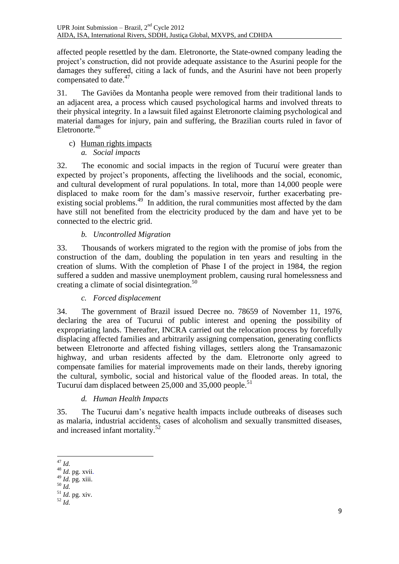affected people resettled by the dam. Eletronorte, the State-owned company leading the project's construction, did not provide adequate assistance to the Asurini people for the damages they suffered, citing a lack of funds, and the Asurini have not been properly compensated to date.<sup>47</sup>

31. The Gaviões da Montanha people were removed from their traditional lands to an adjacent area, a process which caused psychological harms and involved threats to their physical integrity. In a lawsuit filed against Eletronorte claiming psychological and material damages for injury, pain and suffering, the Brazilian courts ruled in favor of Eletronorte.<sup>48</sup>

c) Human rights impacts *a. Social impacts*

32. The economic and social impacts in the region of Tucuruí were greater than expected by project's proponents, affecting the livelihoods and the social, economic, and cultural development of rural populations. In total, more than 14,000 people were displaced to make room for the dam's massive reservoir, further exacerbating preexisting social problems.<sup>49</sup> In addition, the rural communities most affected by the dam have still not benefited from the electricity produced by the dam and have yet to be connected to the electric grid.

## *b. Uncontrolled Migration*

33. Thousands of workers migrated to the region with the promise of jobs from the construction of the dam, doubling the population in ten years and resulting in the creation of slums. With the completion of Phase I of the project in 1984, the region suffered a sudden and massive unemployment problem, causing rural homelessness and creating a climate of social disintegration.<sup>50</sup>

## *c. Forced displacement*

34. The government of Brazil issued Decree no. 78659 of November 11, 1976, declaring the area of Tucurui of public interest and opening the possibility of expropriating lands. Thereafter, INCRA carried out the relocation process by forcefully displacing affected families and arbitrarily assigning compensation, generating conflicts between Eletronorte and affected fishing villages, settlers along the Transamazonic highway, and urban residents affected by the dam. Eletronorte only agreed to compensate families for material improvements made on their lands, thereby ignoring the cultural, symbolic, social and historical value of the flooded areas. In total, the Tucuruí dam displaced between 25,000 and 35,000 people.<sup>51</sup>

## *d. Human Health Impacts*

35. The Tucurui dam's negative health impacts include outbreaks of diseases such as malaria, industrial accidents, cases of alcoholism and sexually transmitted diseases, and increased infant mortality.<sup>52</sup>

<sup>49</sup> *Id.* pg. xiii.

<sup>1</sup> <sup>47</sup> *Id.*

<sup>48</sup> *Id.* pg. xvii.

<sup>50</sup> *Id.*

<sup>51</sup> *Id.* pg. xiv. <sup>52</sup> *Id.*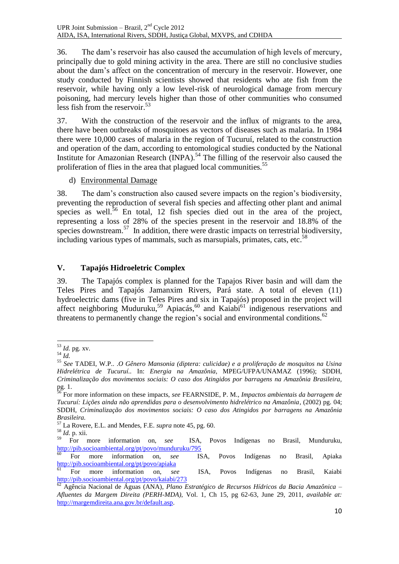36. The dam's reservoir has also caused the accumulation of high levels of mercury, principally due to gold mining activity in the area. There are still no conclusive studies about the dam's affect on the concentration of mercury in the reservoir. However, one study conducted by Finnish scientists showed that residents who ate fish from the reservoir, while having only a low level-risk of neurological damage from mercury poisoning, had mercury levels higher than those of other communities who consumed less fish from the reservoir.<sup>53</sup>

37. With the construction of the reservoir and the influx of migrants to the area, there have been outbreaks of mosquitoes as vectors of diseases such as malaria. In 1984 there were 10,000 cases of malaria in the region of Tucuruí, related to the construction and operation of the dam, according to entomological studies conducted by the National Institute for Amazonian Research  $\text{INPA}$ .<sup>54</sup> The filling of the reservoir also caused the proliferation of flies in the area that plagued local communities.<sup>55</sup>

d) Environmental Damage

38. The dam's construction also caused severe impacts on the region's biodiversity, preventing the reproduction of several fish species and affecting other plant and animal species as well. $56$  En total, 12 fish species died out in the area of the project, representing a loss of 28% of the species present in the reservoir and 18.8% of the species downstream.<sup>57</sup> In addition, there were drastic impacts on terrestrial biodiversity, including various types of mammals, such as marsupials, primates, cats, etc.<sup>58</sup>

# **V. Tapajós Hidroeletric Complex**

39. The Tapajós complex is planned for the Tapajos River basin and will dam the Teles Pires and Tapajós Jamanxim Rivers, Pará state. A total of eleven (11) hydroelectric dams (five in Teles Pires and six in Tapajós) proposed in the project will affect neighboring Muduruku,<sup>59</sup> Apiacás,<sup>60</sup> and Kaiabi<sup>61</sup> indigenous reservations and threatens to permanently change the region's social and environmental conditions. $62$ 

<sup>1</sup> <sup>53</sup> *Id.* pg. xv.

 $\int^{54}$  *Id.* 

<sup>55</sup> *See* TADEI, W.P.. .*O Gênero Mansonia (diptera: culicidae) e a proliferação de mosquitos na Usina Hidrelétrica de Tucuruí..* In: *Energia na Amazônia*, MPEG/UFPA/UNAMAZ (1996); SDDH, *Criminalização dos movimentos sociais: O caso dos Atingidos por barragens na Amazônia Brasileira,* pg. 1.

<sup>56</sup> For more information on these impacts, *see* FEARNSIDE, P. M., *Impactos ambientais da barragem de Tucuruí: Lições ainda não aprendidas para o desenvolvimento hidrelétrico na Amazônia*, (2002) pg. 04; SDDH, *Criminalização dos movimentos sociais: O caso dos Atingidos por barragens na Amazônia Brasileira.*

<sup>57</sup> La Rovere, E.L. and Mendes, F.E. *supra* not[e 45,](#page-7-0) pg. 60.

 $^{58}_{59}$  *Id.* p. xii.

<sup>59</sup> For more information on, *see* ISA, Povos Indígenas no Brasil, Munduruku, <http://pib.socioambiental.org/pt/povo/munduruku/795>

<sup>60</sup> For more information on, *see* ISA, Povos Indígenas no Brasil, Apiaka <http://pib.socioambiental.org/pt/povo/apiaka>

<sup>61</sup> For more information on, *see* ISA, Povos Indígenas no Brasil, Kaiabi <http://pib.socioambiental.org/pt/povo/kaiabi/273>

<sup>62</sup> Agência Nacional de Águas (ANA), *Plano Estratégico de Recursos Hídricos da Bacia Amazônica – Afluentes da Margem Direita (PERH-MDA)*, Vol. 1, Ch 15, pg 62-63, June 29, 2011, *available at:*  [http://margemdireita.ana.gov.br/default.asp.](http://margemdireita.ana.gov.br/default.asp)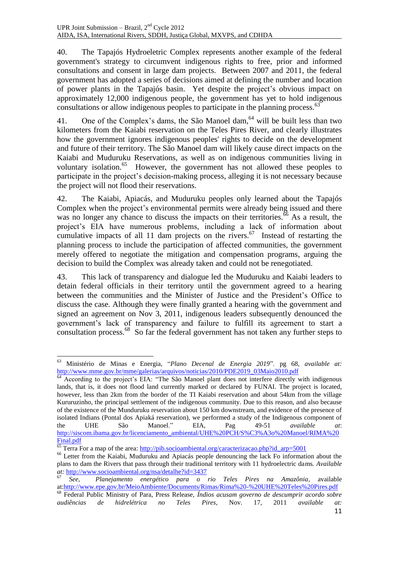40. The Tapajós Hydroeletric Complex represents another example of the federal government's strategy to circumvent indigenous rights to free, prior and informed consultations and consent in large dam projects. Between 2007 and 2011, the federal government has adopted a series of decisions aimed at defining the number and location of power plants in the Tapajós basin. Yet despite the project's obvious impact on approximately 12,000 indigenous people, the government has yet to hold indigenous consultations or allow indigenous peoples to participate in the planning process.<sup>63</sup>

41. One of the Complex's dams, the São Manoel dam,  $64$  will be built less than two kilometers from the Kaiabi reservation on the Teles Pires River, and clearly illustrates how the government ignores indigenous peoples' rights to decide on the development and future of their territory. The São Manoel dam will likely cause direct impacts on the Kaiabi and Muduruku Reservations, as well as on indigenous communities living in voluntary isolation.<sup>65</sup> However, the government has not allowed these peoples to participate in the project's decision-making process, alleging it is not necessary because the project will not flood their reservations.

42. The Kaiabi, Apiacás, and Muduruku peoples only learned about the Tapajós Complex when the project's environmental permits were already being issued and there was no longer any chance to discuss the impacts on their territories.<sup>66</sup> As a result, the project's EIA have numerous problems, including a lack of information about cumulative impacts of all 11 dam projects on the rivers.<sup>67</sup> Instead of restarting the planning process to include the participation of affected communities, the government merely offered to negotiate the mitigation and compensation programs, arguing the decision to build the Complex was already taken and could not be renegotiated.

43. This lack of transparency and dialogue led the Muduruku and Kaiabi leaders to detain federal officials in their territory until the government agreed to a hearing between the communities and the Minister of Justice and the President's Office to discuss the case. Although they were finally granted a hearing with the government and signed an agreement on Nov 3, 2011, indigenous leaders subsequently denounced the government's lack of transparency and failure to fulfill its agreement to start a  $\frac{1}{2}$  consultation process.<sup>68</sup> So far the federal government has not taken any further steps to

1

<sup>63</sup> Ministério de Minas e Energia, "*Plano Decenal de Energia 2019*". pg 68, *available at:* [http://www.mme.gov.br/mme/galerias/arquivos/noticias/2010/PDE2019\\_03Maio2010.pdf](http://www.mme.gov.br/mme/galerias/arquivos/noticias/2010/PDE2019_03Maio2010.pdf)

 $\overline{64}$  According to the project's EIA: "The São Manoel plant does not interfere directly with indigenous lands, that is, it does not flood land currently marked or declared by FUNAI. The project is located, however, less than 2km from the border of the TI Kaiabi reservation and about 54km from the village Kururuzinho, the principal settlement of the indigenous community. Due to this reason, and also because of the existence of the Munduruku reservation about 150 km downstream, and evidence of the presence of isolated Indians (Pontal dos Apiaká reservation), we performed a study of the Indigenous component of the UHE São Manoel." EIA, Pag 49-51 *available at*: [http://siscom.ibama.gov.br/licenciamento\\_ambiental/UHE%20PCH/S%C3%A3o%20Manoel/RIMA%20](http://siscom.ibama.gov.br/licenciamento_ambiental/UHE%20PCH/S%C3%A3o%20Manoel/RIMA%20Final.pdf) [Final.pdf](http://siscom.ibama.gov.br/licenciamento_ambiental/UHE%20PCH/S%C3%A3o%20Manoel/RIMA%20Final.pdf)

 $^{65}$  Terra For a map of the area[: http://pib.socioambiental.org/caracterizacao.php?id\\_arp=5001](http://pib.socioambiental.org/caracterizacao.php?id_arp=5001)

<sup>&</sup>lt;sup>66</sup> Letter from the Kaiabi, Muduruku and Apiacás people denouncing the lack Fo information about the plans to dam the Rivers that pass through their traditional territory with 11 hydroelectric dams. *Available at:* <http://www.socioambiental.org/nsa/detalhe?id=3437>

<sup>67</sup> *See, Planejamento energético para o rio Teles Pires na Amazônia*, available at[:http://www.epe.gov.br/MeioAmbiente/Documents/Rimas/Rima%20-%20UHE%20Teles%20Pires.pdf](http://www.epe.gov.br/MeioAmbiente/Documents/Rimas/Rima%20-%20UHE%20Teles%20Pires.pdf)

<sup>68</sup> Federal Public Ministry of Para, Press Release, *Índios acusam governo de descumprir acordo sobre audiências de hidrelétrica no Teles Pires*, Nov. 17, 2011 *available at:*